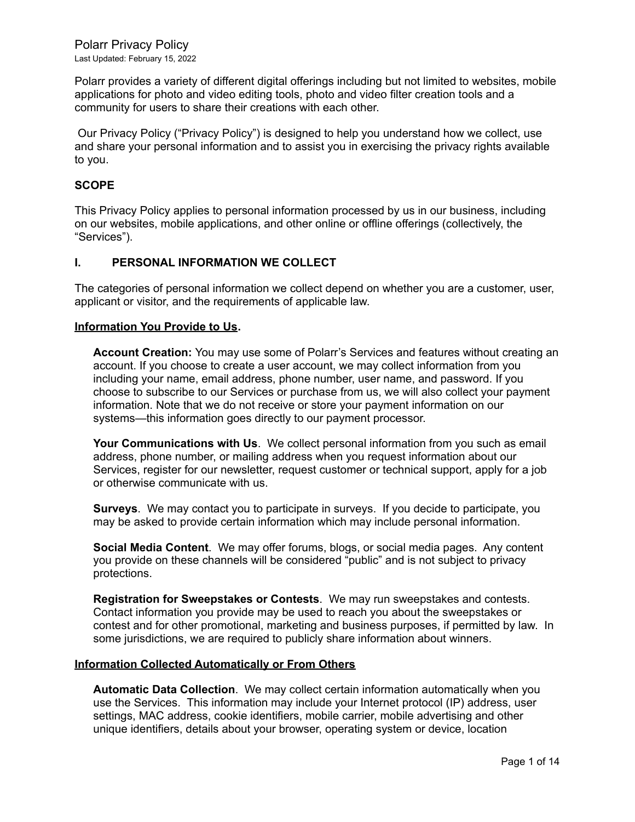Polarr Privacy Policy Last Updated: February 15, 2022

Polarr provides a variety of different digital offerings including but not limited to websites, mobile applications for photo and video editing tools, photo and video filter creation tools and a community for users to share their creations with each other.

Our Privacy Policy ("Privacy Policy") is designed to help you understand how we collect, use and share your personal information and to assist you in exercising the privacy rights available to you.

#### **SCOPE**

This Privacy Policy applies to personal information processed by us in our business, including on our websites, mobile applications, and other online or offline offerings (collectively, the "Services").

#### **I. PERSONAL INFORMATION WE COLLECT**

The categories of personal information we collect depend on whether you are a customer, user, applicant or visitor, and the requirements of applicable law.

#### **Information You Provide to Us.**

**Account Creation:** You may use some of Polarr's Services and features without creating an account. If you choose to create a user account, we may collect information from you including your name, email address, phone number, user name, and password. If you choose to subscribe to our Services or purchase from us, we will also collect your payment information. Note that we do not receive or store your payment information on our systems—this information goes directly to our payment processor.

**Your Communications with Us**. We collect personal information from you such as email address, phone number, or mailing address when you request information about our Services, register for our newsletter, request customer or technical support, apply for a job or otherwise communicate with us.

**Surveys**. We may contact you to participate in surveys. If you decide to participate, you may be asked to provide certain information which may include personal information.

**Social Media Content**. We may offer forums, blogs, or social media pages. Any content you provide on these channels will be considered "public" and is not subject to privacy protections.

**Registration for Sweepstakes or Contests**. We may run sweepstakes and contests. Contact information you provide may be used to reach you about the sweepstakes or contest and for other promotional, marketing and business purposes, if permitted by law. In some jurisdictions, we are required to publicly share information about winners.

#### **Information Collected Automatically or From Others**

**Automatic Data Collection**. We may collect certain information automatically when you use the Services. This information may include your Internet protocol (IP) address, user settings, MAC address, cookie identifiers, mobile carrier, mobile advertising and other unique identifiers, details about your browser, operating system or device, location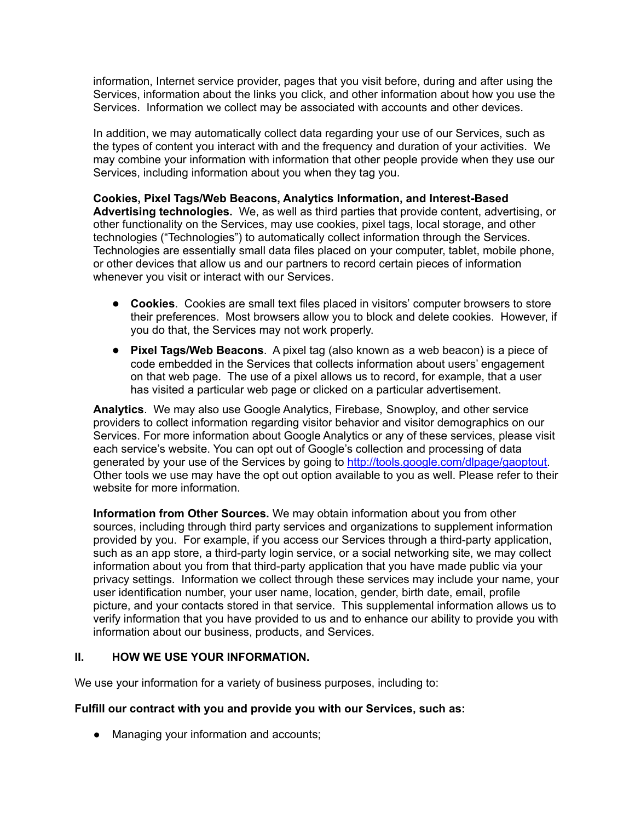information, Internet service provider, pages that you visit before, during and after using the Services, information about the links you click, and other information about how you use the Services. Information we collect may be associated with accounts and other devices.

In addition, we may automatically collect data regarding your use of our Services, such as the types of content you interact with and the frequency and duration of your activities. We may combine your information with information that other people provide when they use our Services, including information about you when they tag you.

**Cookies, Pixel Tags/Web Beacons, Analytics Information, and Interest-Based Advertising technologies.** We, as well as third parties that provide content, advertising, or other functionality on the Services, may use cookies, pixel tags, local storage, and other technologies ("Technologies") to automatically collect information through the Services. Technologies are essentially small data files placed on your computer, tablet, mobile phone, or other devices that allow us and our partners to record certain pieces of information whenever you visit or interact with our Services.

- **Cookies**. Cookies are small text files placed in visitors' computer browsers to store their preferences. Most browsers allow you to block and delete cookies. However, if you do that, the Services may not work properly.
- **Pixel Tags/Web Beacons**. A pixel tag (also known as a web beacon) is a piece of code embedded in the Services that collects information about users' engagement on that web page. The use of a pixel allows us to record, for example, that a user has visited a particular web page or clicked on a particular advertisement.

**Analytics**. We may also use Google Analytics, Firebase, Snowploy, and other service providers to collect information regarding visitor behavior and visitor demographics on our Services. For more information about Google Analytics or any of these services, please visit each service's website. You can opt out of Google's collection and processing of data generated by your use of the Services by going to [http://tools.google.com/dlpage/gaoptout.](http://tools.google.com/dlpage/gaoptout) Other tools we use may have the opt out option available to you as well. Please refer to their website for more information.

**Information from Other Sources.** We may obtain information about you from other sources, including through third party services and organizations to supplement information provided by you. For example, if you access our Services through a third-party application, such as an app store, a third-party login service, or a social networking site, we may collect information about you from that third-party application that you have made public via your privacy settings. Information we collect through these services may include your name, your user identification number, your user name, location, gender, birth date, email, profile picture, and your contacts stored in that service. This supplemental information allows us to verify information that you have provided to us and to enhance our ability to provide you with information about our business, products, and Services.

# **II. HOW WE USE YOUR INFORMATION.**

We use your information for a variety of business purposes, including to:

# **Fulfill our contract with you and provide you with our Services, such as:**

● Managing your information and accounts;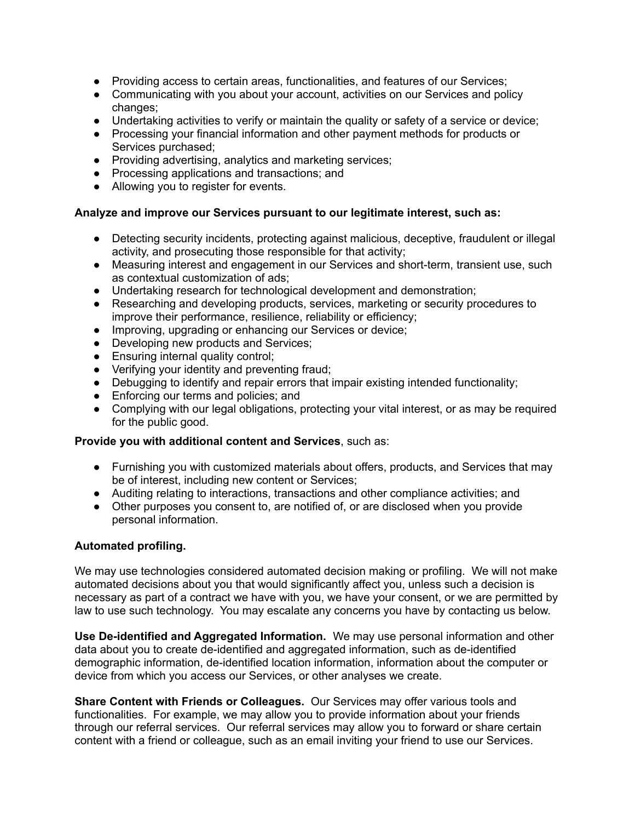- Providing access to certain areas, functionalities, and features of our Services;
- Communicating with you about your account, activities on our Services and policy changes;
- Undertaking activities to verify or maintain the quality or safety of a service or device;
- Processing your financial information and other payment methods for products or Services purchased;
- Providing advertising, analytics and marketing services;
- Processing applications and transactions; and
- Allowing you to register for events.

## **Analyze and improve our Services pursuant to our legitimate interest, such as:**

- Detecting security incidents, protecting against malicious, deceptive, fraudulent or illegal activity, and prosecuting those responsible for that activity;
- Measuring interest and engagement in our Services and short-term, transient use, such as contextual customization of ads;
- Undertaking research for technological development and demonstration;
- Researching and developing products, services, marketing or security procedures to improve their performance, resilience, reliability or efficiency;
- Improving, upgrading or enhancing our Services or device;
- Developing new products and Services;
- Ensuring internal quality control;
- Verifying your identity and preventing fraud;
- Debugging to identify and repair errors that impair existing intended functionality;
- Enforcing our terms and policies; and
- Complying with our legal obligations, protecting your vital interest, or as may be required for the public good.

### **Provide you with additional content and Services**, such as:

- Furnishing you with customized materials about offers, products, and Services that may be of interest, including new content or Services;
- Auditing relating to interactions, transactions and other compliance activities; and
- Other purposes you consent to, are notified of, or are disclosed when you provide personal information.

### **Automated profiling.**

We may use technologies considered automated decision making or profiling. We will not make automated decisions about you that would significantly affect you, unless such a decision is necessary as part of a contract we have with you, we have your consent, or we are permitted by law to use such technology. You may escalate any concerns you have by contacting us below.

**Use De-identified and Aggregated Information.** We may use personal information and other data about you to create de-identified and aggregated information, such as de-identified demographic information, de-identified location information, information about the computer or device from which you access our Services, or other analyses we create.

**Share Content with Friends or Colleagues.** Our Services may offer various tools and functionalities. For example, we may allow you to provide information about your friends through our referral services. Our referral services may allow you to forward or share certain content with a friend or colleague, such as an email inviting your friend to use our Services.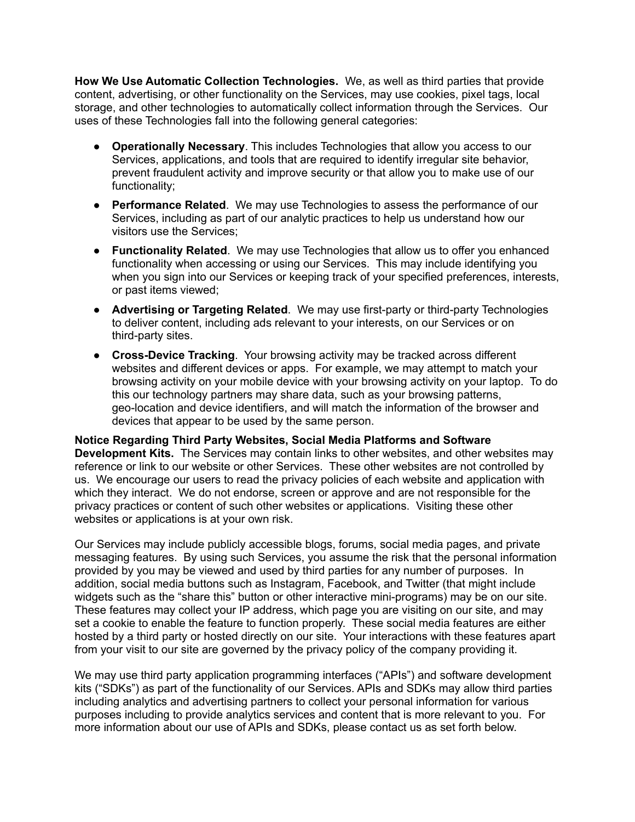**How We Use Automatic Collection Technologies.** We, as well as third parties that provide content, advertising, or other functionality on the Services, may use cookies, pixel tags, local storage, and other technologies to automatically collect information through the Services. Our uses of these Technologies fall into the following general categories:

- **Operationally Necessary**. This includes Technologies that allow you access to our Services, applications, and tools that are required to identify irregular site behavior, prevent fraudulent activity and improve security or that allow you to make use of our functionality;
- **Performance Related**. We may use Technologies to assess the performance of our Services, including as part of our analytic practices to help us understand how our visitors use the Services;
- **Functionality Related**. We may use Technologies that allow us to offer you enhanced functionality when accessing or using our Services. This may include identifying you when you sign into our Services or keeping track of your specified preferences, interests, or past items viewed;
- **Advertising or Targeting Related**. We may use first-party or third-party Technologies to deliver content, including ads relevant to your interests, on our Services or on third-party sites.
- **Cross-Device Tracking**. Your browsing activity may be tracked across different websites and different devices or apps. For example, we may attempt to match your browsing activity on your mobile device with your browsing activity on your laptop. To do this our technology partners may share data, such as your browsing patterns, geo-location and device identifiers, and will match the information of the browser and devices that appear to be used by the same person.

**Notice Regarding Third Party Websites, Social Media Platforms and Software Development Kits.** The Services may contain links to other websites, and other websites may reference or link to our website or other Services. These other websites are not controlled by us. We encourage our users to read the privacy policies of each website and application with which they interact. We do not endorse, screen or approve and are not responsible for the privacy practices or content of such other websites or applications. Visiting these other websites or applications is at your own risk.

Our Services may include publicly accessible blogs, forums, social media pages, and private messaging features. By using such Services, you assume the risk that the personal information provided by you may be viewed and used by third parties for any number of purposes. In addition, social media buttons such as Instagram, Facebook, and Twitter (that might include widgets such as the "share this" button or other interactive mini-programs) may be on our site. These features may collect your IP address, which page you are visiting on our site, and may set a cookie to enable the feature to function properly. These social media features are either hosted by a third party or hosted directly on our site. Your interactions with these features apart from your visit to our site are governed by the privacy policy of the company providing it.

We may use third party application programming interfaces ("APIs") and software development kits ("SDKs") as part of the functionality of our Services. APIs and SDKs may allow third parties including analytics and advertising partners to collect your personal information for various purposes including to provide analytics services and content that is more relevant to you. For more information about our use of APIs and SDKs, please contact us as set forth below.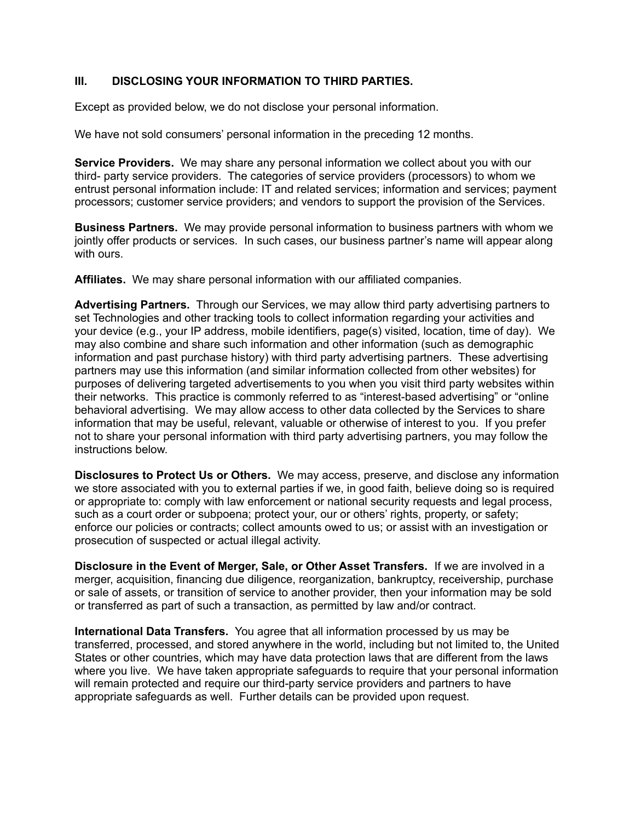# **III. DISCLOSING YOUR INFORMATION TO THIRD PARTIES.**

Except as provided below, we do not disclose your personal information.

We have not sold consumers' personal information in the preceding 12 months.

**Service Providers.** We may share any personal information we collect about you with our third- party service providers. The categories of service providers (processors) to whom we entrust personal information include: IT and related services; information and services; payment processors; customer service providers; and vendors to support the provision of the Services.

**Business Partners.** We may provide personal information to business partners with whom we jointly offer products or services. In such cases, our business partner's name will appear along with ours.

**Affiliates.** We may share personal information with our affiliated companies.

**Advertising Partners.** Through our Services, we may allow third party advertising partners to set Technologies and other tracking tools to collect information regarding your activities and your device (e.g., your IP address, mobile identifiers, page(s) visited, location, time of day). We may also combine and share such information and other information (such as demographic information and past purchase history) with third party advertising partners. These advertising partners may use this information (and similar information collected from other websites) for purposes of delivering targeted advertisements to you when you visit third party websites within their networks. This practice is commonly referred to as "interest-based advertising" or "online behavioral advertising. We may allow access to other data collected by the Services to share information that may be useful, relevant, valuable or otherwise of interest to you. If you prefer not to share your personal information with third party advertising partners, you may follow the instructions below.

**Disclosures to Protect Us or Others.** We may access, preserve, and disclose any information we store associated with you to external parties if we, in good faith, believe doing so is required or appropriate to: comply with law enforcement or national security requests and legal process, such as a court order or subpoena; protect your, our or others' rights, property, or safety; enforce our policies or contracts; collect amounts owed to us; or assist with an investigation or prosecution of suspected or actual illegal activity.

**Disclosure in the Event of Merger, Sale, or Other Asset Transfers.** If we are involved in a merger, acquisition, financing due diligence, reorganization, bankruptcy, receivership, purchase or sale of assets, or transition of service to another provider, then your information may be sold or transferred as part of such a transaction, as permitted by law and/or contract.

**International Data Transfers.** You agree that all information processed by us may be transferred, processed, and stored anywhere in the world, including but not limited to, the United States or other countries, which may have data protection laws that are different from the laws where you live. We have taken appropriate safeguards to require that your personal information will remain protected and require our third-party service providers and partners to have appropriate safeguards as well. Further details can be provided upon request.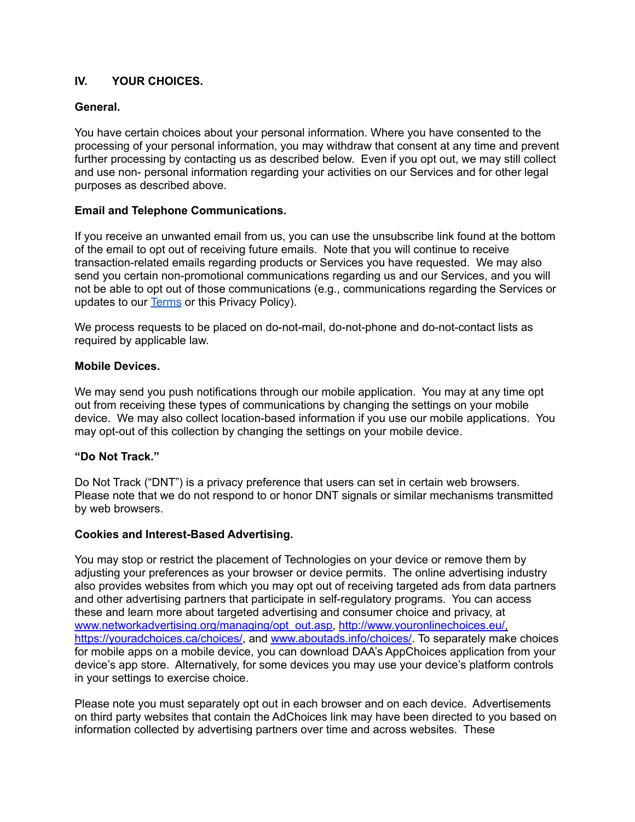# **IV. YOUR CHOICES.**

## **General.**

You have certain choices about your personal information. Where you have consented to the processing of your personal information, you may withdraw that consent at any time and prevent further processing by contacting us as described below. Even if you opt out, we may still collect and use non- personal information regarding your activities on our Services and for other legal purposes as described above.

### **Email and Telephone Communications.**

If you receive an unwanted email from us, you can use the unsubscribe link found at the bottom of the email to opt out of receiving future emails. Note that you will continue to receive transaction-related emails regarding products or Services you have requested. We may also send you certain non-promotional communications regarding us and our Services, and you will not be able to opt out of those communications (e.g., communications regarding the Services or updates to our [Terms](https://docs.google.com/document/d/1f27RUWvs1UbfA--XvA4hlUHJ9DZgX-R9bHSponpGccs/edit?usp=sharing) or this Privacy Policy).

We process requests to be placed on do-not-mail, do-not-phone and do-not-contact lists as required by applicable law.

### **Mobile Devices.**

We may send you push notifications through our mobile application. You may at any time opt out from receiving these types of communications by changing the settings on your mobile device. We may also collect location-based information if you use our mobile applications. You may opt-out of this collection by changing the settings on your mobile device.

### **"Do Not Track."**

Do Not Track ("DNT") is a privacy preference that users can set in certain web browsers. Please note that we do not respond to or honor DNT signals or similar mechanisms transmitted by web browsers.

### **Cookies and Interest-Based Advertising.**

You may stop or restrict the placement of Technologies on your device or remove them by adjusting your preferences as your browser or device permits. The online advertising industry also provides websites from which you may opt out of receiving targeted ads from data partners and other advertising partners that participate in self-regulatory programs. You can access these and learn more about targeted advertising and consumer choice and privacy, at [www.networkadvertising.org/managing/opt\\_out.asp,](http://www.networkadvertising.org/managing/opt_out.asp) [http://www.youronlinechoices.eu/,](http://www.youronlinechoices.eu/) [https://youradchoices.ca/choices/,](https://youradchoices.ca/choices/) and [www.aboutads.info/choices/](http://www.aboutads.info/choices/). To separately make choices for mobile apps on a mobile device, you can download DAA's AppChoices application from your device's app store. Alternatively, for some devices you may use your device's platform controls in your settings to exercise choice.

Please note you must separately opt out in each browser and on each device. Advertisements on third party websites that contain the AdChoices link may have been directed to you based on information collected by advertising partners over time and across websites. These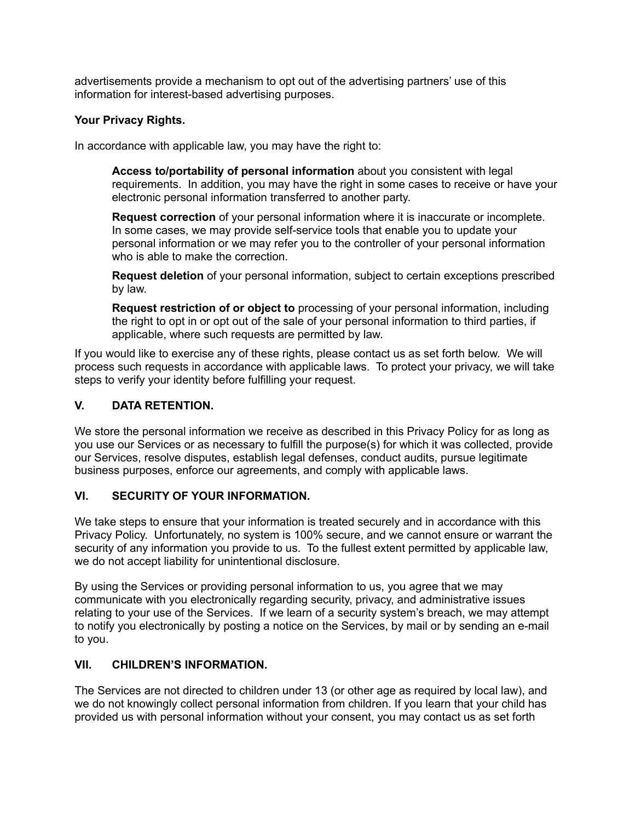advertisements provide a mechanism to opt out of the advertising partners' use of this information for interest-based advertising purposes.

## **Your Privacy Rights.**

In accordance with applicable law, you may have the right to:

**Access to/portability of personal information** about you consistent with legal requirements. In addition, you may have the right in some cases to receive or have your electronic personal information transferred to another party.

**Request correction** of your personal information where it is inaccurate or incomplete. In some cases, we may provide self-service tools that enable you to update your personal information or we may refer you to the controller of your personal information who is able to make the correction.

**Request deletion** of your personal information, subject to certain exceptions prescribed by law.

**Request restriction of or object to** processing of your personal information, including the right to opt in or opt out of the sale of your personal information to third parties, if applicable, where such requests are permitted by law.

If you would like to exercise any of these rights, please contact us as set forth below. We will process such requests in accordance with applicable laws. To protect your privacy, we will take steps to verify your identity before fulfilling your request.

# **V. DATA RETENTION.**

We store the personal information we receive as described in this Privacy Policy for as long as you use our Services or as necessary to fulfill the purpose(s) for which it was collected, provide our Services, resolve disputes, establish legal defenses, conduct audits, pursue legitimate business purposes, enforce our agreements, and comply with applicable laws.

### **VI. SECURITY OF YOUR INFORMATION.**

We take steps to ensure that your information is treated securely and in accordance with this Privacy Policy. Unfortunately, no system is 100% secure, and we cannot ensure or warrant the security of any information you provide to us. To the fullest extent permitted by applicable law, we do not accept liability for unintentional disclosure.

By using the Services or providing personal information to us, you agree that we may communicate with you electronically regarding security, privacy, and administrative issues relating to your use of the Services. If we learn of a security system's breach, we may attempt to notify you electronically by posting a notice on the Services, by mail or by sending an e-mail to you.

# **VII. CHILDREN'S INFORMATION.**

The Services are not directed to children under 13 (or other age as required by local law), and we do not knowingly collect personal information from children. If you learn that your child has provided us with personal information without your consent, you may contact us as set forth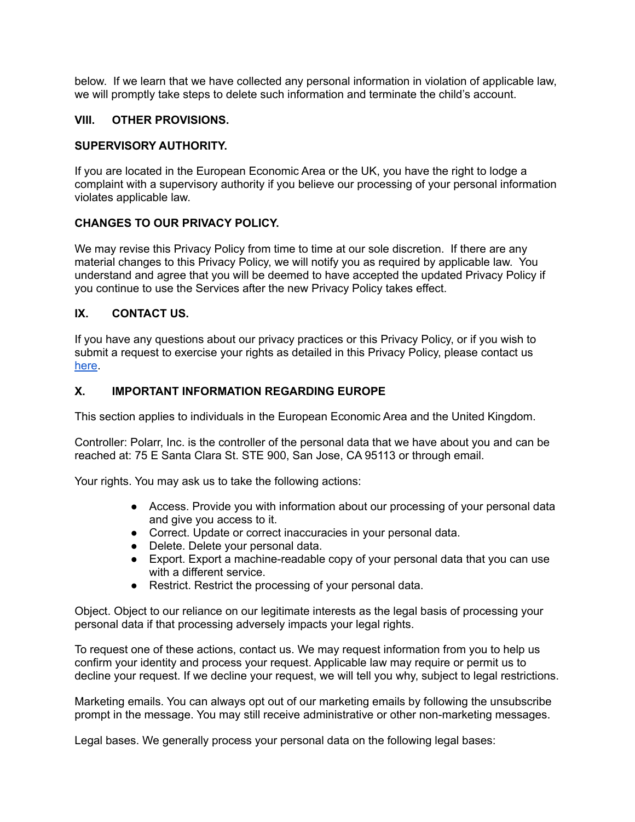below. If we learn that we have collected any personal information in violation of applicable law, we will promptly take steps to delete such information and terminate the child's account.

#### **VIII. OTHER PROVISIONS.**

#### **SUPERVISORY AUTHORITY.**

If you are located in the European Economic Area or the UK, you have the right to lodge a complaint with a supervisory authority if you believe our processing of your personal information violates applicable law.

#### **CHANGES TO OUR PRIVACY POLICY.**

We may revise this Privacy Policy from time to time at our sole discretion. If there are any material changes to this Privacy Policy, we will notify you as required by applicable law. You understand and agree that you will be deemed to have accepted the updated Privacy Policy if you continue to use the Services after the new Privacy Policy takes effect.

#### **IX. CONTACT US.**

If you have any questions about our privacy practices or this Privacy Policy, or if you wish to submit a request to exercise your rights as detailed in this Privacy Policy, please contact us [here](https://support.polarr.com/hc/en-us/requests/new).

### **X. IMPORTANT INFORMATION REGARDING EUROPE**

This section applies to individuals in the European Economic Area and the United Kingdom.

Controller: Polarr, Inc. is the controller of the personal data that we have about you and can be reached at: 75 E Santa Clara St. STE 900, San Jose, CA 95113 or through email.

Your rights. You may ask us to take the following actions:

- Access. Provide you with information about our processing of your personal data and give you access to it.
- Correct. Update or correct inaccuracies in your personal data.
- Delete. Delete your personal data.
- Export. Export a machine-readable copy of your personal data that you can use with a different service.
- Restrict. Restrict the processing of your personal data.

Object. Object to our reliance on our legitimate interests as the legal basis of processing your personal data if that processing adversely impacts your legal rights.

To request one of these actions, contact us. We may request information from you to help us confirm your identity and process your request. Applicable law may require or permit us to decline your request. If we decline your request, we will tell you why, subject to legal restrictions.

Marketing emails. You can always opt out of our marketing emails by following the unsubscribe prompt in the message. You may still receive administrative or other non-marketing messages.

Legal bases. We generally process your personal data on the following legal bases: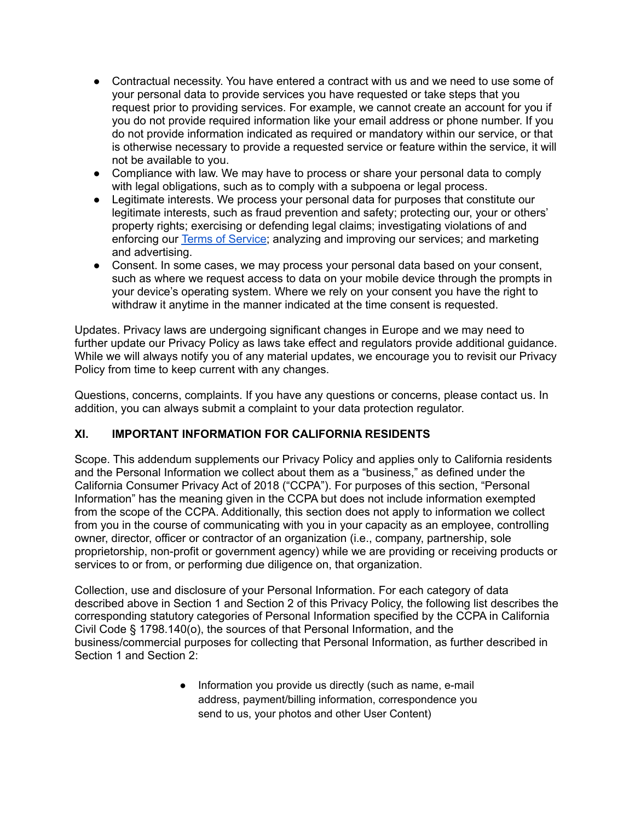- Contractual necessity. You have entered a contract with us and we need to use some of your personal data to provide services you have requested or take steps that you request prior to providing services. For example, we cannot create an account for you if you do not provide required information like your email address or phone number. If you do not provide information indicated as required or mandatory within our service, or that is otherwise necessary to provide a requested service or feature within the service, it will not be available to you.
- Compliance with law. We may have to process or share your personal data to comply with legal obligations, such as to comply with a subpoena or legal process.
- Legitimate interests. We process your personal data for purposes that constitute our legitimate interests, such as fraud prevention and safety; protecting our, your or others' property rights; exercising or defending legal claims; investigating violations of and enforcing our **Terms of [Service](https://docs.google.com/document/d/1f27RUWvs1UbfA--XvA4hlUHJ9DZgX-R9bHSponpGccs/edit?usp=sharing)**; analyzing and improving our services; and marketing and advertising.
- Consent. In some cases, we may process your personal data based on your consent, such as where we request access to data on your mobile device through the prompts in your device's operating system. Where we rely on your consent you have the right to withdraw it anytime in the manner indicated at the time consent is requested.

Updates. Privacy laws are undergoing significant changes in Europe and we may need to further update our Privacy Policy as laws take effect and regulators provide additional guidance. While we will always notify you of any material updates, we encourage you to revisit our Privacy Policy from time to keep current with any changes.

Questions, concerns, complaints. If you have any questions or concerns, please contact us. In addition, you can always submit a complaint to your data protection regulator.

# **XI. IMPORTANT INFORMATION FOR CALIFORNIA RESIDENTS**

Scope. This addendum supplements our Privacy Policy and applies only to California residents and the Personal Information we collect about them as a "business," as defined under the California Consumer Privacy Act of 2018 ("CCPA"). For purposes of this section, "Personal Information" has the meaning given in the CCPA but does not include information exempted from the scope of the CCPA. Additionally, this section does not apply to information we collect from you in the course of communicating with you in your capacity as an employee, controlling owner, director, officer or contractor of an organization (i.e., company, partnership, sole proprietorship, non-profit or government agency) while we are providing or receiving products or services to or from, or performing due diligence on, that organization.

Collection, use and disclosure of your Personal Information. For each category of data described above in Section 1 and Section 2 of this Privacy Policy, the following list describes the corresponding statutory categories of Personal Information specified by the CCPA in California Civil Code § 1798.140(o), the sources of that Personal Information, and the business/commercial purposes for collecting that Personal Information, as further described in Section 1 and Section 2:

> ● Information you provide us directly (such as name, e-mail address, payment/billing information, correspondence you send to us, your photos and other User Content)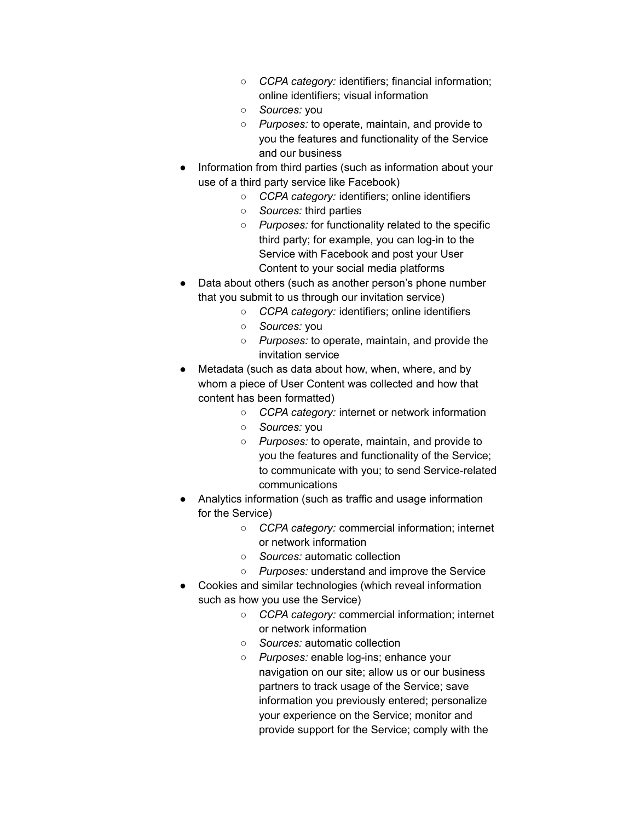- *CCPA category:* identifiers; financial information; online identifiers; visual information
- *Sources:* you
- *Purposes:* to operate, maintain, and provide to you the features and functionality of the Service and our business
- Information from third parties (such as information about your use of a third party service like Facebook)
	- *CCPA category:* identifiers; online identifiers
	- *Sources:* third parties
	- *Purposes:* for functionality related to the specific third party; for example, you can log-in to the Service with Facebook and post your User Content to your social media platforms
- Data about others (such as another person's phone number that you submit to us through our invitation service)
	- *CCPA category:* identifiers; online identifiers
	- *Sources:* you
	- *Purposes:* to operate, maintain, and provide the invitation service
- Metadata (such as data about how, when, where, and by whom a piece of User Content was collected and how that content has been formatted)
	- *CCPA category:* internet or network information
	- *Sources:* you
	- *Purposes:* to operate, maintain, and provide to you the features and functionality of the Service; to communicate with you; to send Service-related communications
- Analytics information (such as traffic and usage information for the Service)
	- *CCPA category:* commercial information; internet or network information
	- *Sources:* automatic collection
	- *Purposes:* understand and improve the Service
- Cookies and similar technologies (which reveal information such as how you use the Service)
	- *CCPA category:* commercial information; internet or network information
		- *Sources:* automatic collection
		- *Purposes:* enable log-ins; enhance your navigation on our site; allow us or our business partners to track usage of the Service; save information you previously entered; personalize your experience on the Service; monitor and provide support for the Service; comply with the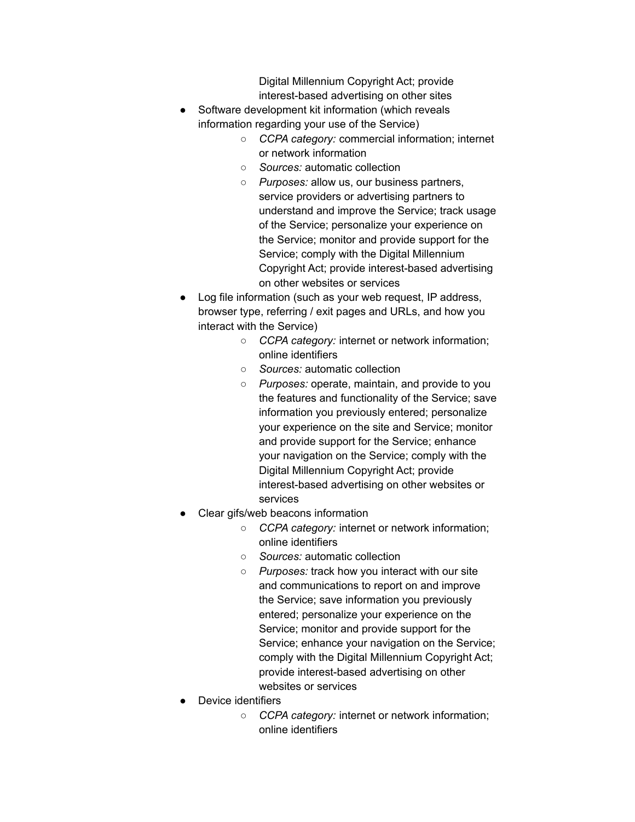Digital Millennium Copyright Act; provide interest-based advertising on other sites

- Software development kit information (which reveals information regarding your use of the Service)
	- *CCPA category:* commercial information; internet or network information
	- *Sources:* automatic collection
	- *Purposes:* allow us, our business partners, service providers or advertising partners to understand and improve the Service; track usage of the Service; personalize your experience on the Service; monitor and provide support for the Service; comply with the Digital Millennium Copyright Act; provide interest-based advertising on other websites or services
- Log file information (such as your web request, IP address, browser type, referring / exit pages and URLs, and how you interact with the Service)
	- *CCPA category:* internet or network information; online identifiers
	- *Sources:* automatic collection
	- *Purposes:* operate, maintain, and provide to you the features and functionality of the Service; save information you previously entered; personalize your experience on the site and Service; monitor and provide support for the Service; enhance your navigation on the Service; comply with the Digital Millennium Copyright Act; provide interest-based advertising on other websites or services
- Clear gifs/web beacons information
	- *CCPA category:* internet or network information; online identifiers
	- *Sources:* automatic collection
	- *Purposes:* track how you interact with our site and communications to report on and improve the Service; save information you previously entered; personalize your experience on the Service; monitor and provide support for the Service; enhance your navigation on the Service; comply with the Digital Millennium Copyright Act; provide interest-based advertising on other websites or services
- Device identifiers
	- *CCPA category:* internet or network information; online identifiers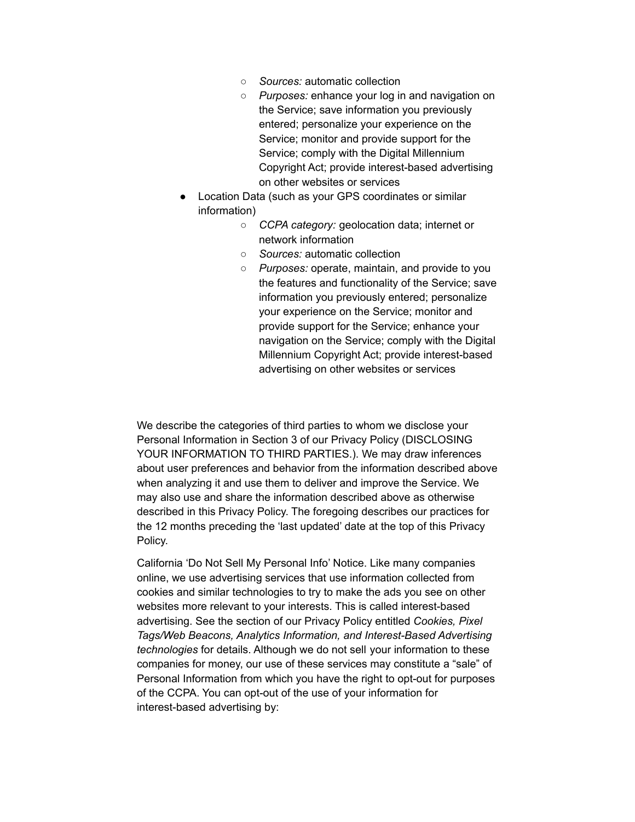- *Sources:* automatic collection
- *Purposes:* enhance your log in and navigation on the Service; save information you previously entered; personalize your experience on the Service; monitor and provide support for the Service; comply with the Digital Millennium Copyright Act; provide interest-based advertising on other websites or services
- Location Data (such as your GPS coordinates or similar information)
	- *CCPA category:* geolocation data; internet or network information
	- *Sources:* automatic collection
	- *Purposes:* operate, maintain, and provide to you the features and functionality of the Service; save information you previously entered; personalize your experience on the Service; monitor and provide support for the Service; enhance your navigation on the Service; comply with the Digital Millennium Copyright Act; provide interest-based advertising on other websites or services

We describe the categories of third parties to whom we disclose your Personal Information in Section 3 of our Privacy Policy (DISCLOSING YOUR INFORMATION TO THIRD PARTIES.). We may draw inferences about user preferences and behavior from the information described above when analyzing it and use them to deliver and improve the Service. We may also use and share the information described above as otherwise described in this Privacy Policy. The foregoing describes our practices for the 12 months preceding the 'last updated' date at the top of this Privacy Policy.

California 'Do Not Sell My Personal Info' Notice. Like many companies online, we use advertising services that use information collected from cookies and similar technologies to try to make the ads you see on other websites more relevant to your interests. This is called interest-based advertising. See the section of our Privacy Policy entitled *Cookies, Pixel Tags/Web Beacons, Analytics Information, and Interest-Based Advertising technologies* for details. Although we do not sell your information to these companies for money, our use of these services may constitute a "sale" of Personal Information from which you have the right to opt-out for purposes of the CCPA. You can opt-out of the use of your information for interest-based advertising by: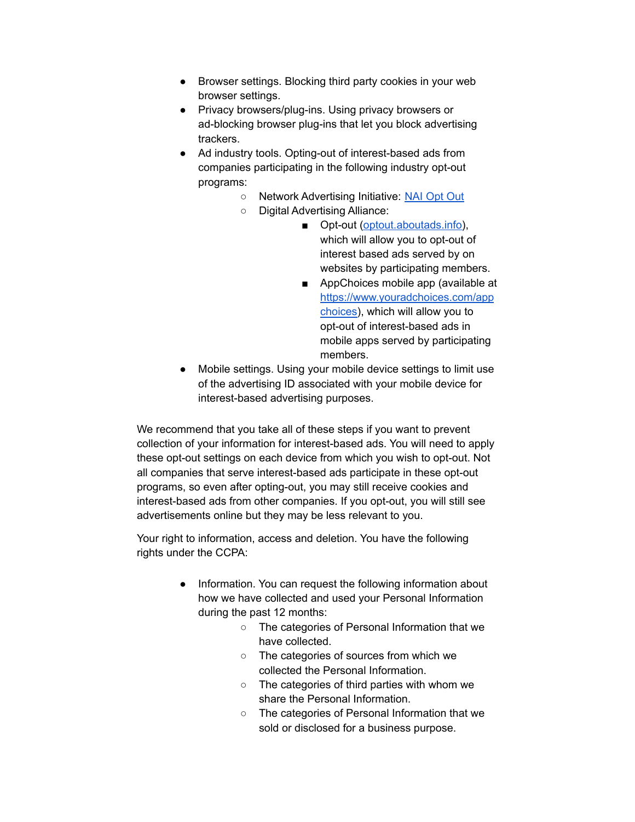- Browser settings. Blocking third party cookies in your web browser settings.
- Privacy browsers/plug-ins. Using privacy browsers or ad-blocking browser plug-ins that let you block advertising trackers.
- Ad industry tools. Opting-out of interest-based ads from companies participating in the following industry opt-out programs:
	- Network Advertising Initiative: [NAI Opt Out](https://www.networkadvertising.org/managing/opt_out.aspx)
	- Digital Advertising Alliance:
		- Opt-out [\(optout.aboutads.info\)](https://optout.aboutads.info/), which will allow you to opt-out of interest based ads served by on websites by participating members.
		- AppChoices mobile app (available at [https://www.youradchoices.com/app](https://www.youradchoices.com/appchoices) [choices\)](https://www.youradchoices.com/appchoices), which will allow you to opt-out of interest-based ads in mobile apps served by participating members.
- Mobile settings. Using your mobile device settings to limit use of the advertising ID associated with your mobile device for interest-based advertising purposes.

We recommend that you take all of these steps if you want to prevent collection of your information for interest-based ads. You will need to apply these opt-out settings on each device from which you wish to opt-out. Not all companies that serve interest-based ads participate in these opt-out programs, so even after opting-out, you may still receive cookies and interest-based ads from other companies. If you opt-out, you will still see advertisements online but they may be less relevant to you.

Your right to information, access and deletion. You have the following rights under the CCPA:

- Information. You can request the following information about how we have collected and used your Personal Information during the past 12 months:
	- The categories of Personal Information that we have collected.
	- The categories of sources from which we collected the Personal Information.
	- The categories of third parties with whom we share the Personal Information.
	- The categories of Personal Information that we sold or disclosed for a business purpose.